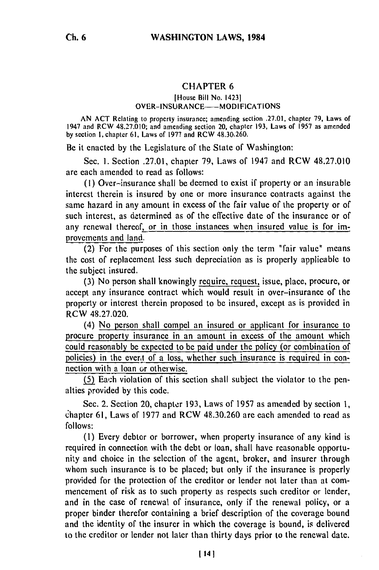## CHAPTER **6**

## [House Bill No. 14231 OVER-INSURANCE-MODIFICATIONS

AN ACT Relating to property insurance; amending section .27.01, chapter 79, Laws of 1947 and RCW 48.27.010; and amending section 20, chapter 193, Laws **of** 1957 as amended by section I, chapter 61, Laws of 1977 and RCW 48.30.260.

Be it enacted by the Legislature of the State of Washington:

Sec. **1.** Section .27.01, chapter 79, Laws of 1947 and RCW 48.27.010 are each amended to read as follows:

**(1)** Over-insurance shall be deemed to exist if property or an insurable interest therein is insured by one or more insurance contracts against the same hazard in any amount in excess of the fair value of the property or of such interest, as determined as of the effective date of the insurance or of any renewal thereof, or in those instances when insured value is for improvements and land.

(2) For the purposes of this section only the term "fair value" means the cost of replacement less such depreciation as is properly applicable to the subject insured.

(3) No person shall knowingly require, request, issue, place, procure, or accept any insurance contract which would result in over-insurance of the property or interest therein proposed to be insured, except as is provided in RCW 48.27.020.

(4) No person shall compel an insured or applicant for insurance to procure property insurance in an amount in excess of the amount which could reasonably be expected to be paid under the policy (or combination of policies) in the evert of a loss, whether such insurance is required in connection with a loan or otherwise.

(5) Each violation of this section shall subject the violator to the penalties provided by this code.

Sec. 2. Section 20, chapter 193, Laws of 1957 as amended by section 1, chapter 61, Laws of 1977 and RCW 48.30.260 are each amended to read as follows:

(1) Every debtor or borrower, when property insurance of any kind is required in connection with the debt or loan, shall have reasonable opportunity and choice in the selection of the agent, broker, and insurer through whom such insurance is to be placed; but only if the insurance is properly provided for the protection of the creditor or lender not later than at commencement of risk as to such property as respects such creditor or lender, and in the case of renewal of insurance, only if the renewal policy, or a proper binder therefor containing a brief description of the coverage bound and the identity of the insurer in which the coverage is bound, is delivered to the creditor or lender not later than thirty days prior to the renewal date.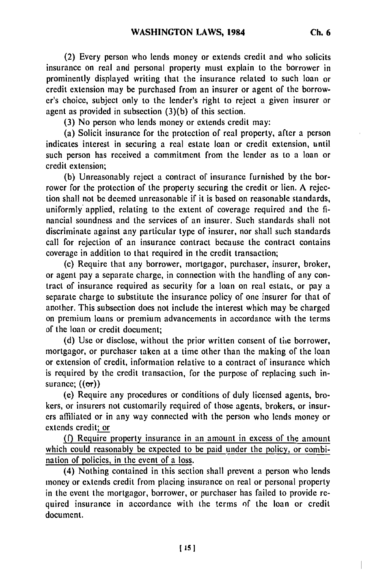(2) Every person who lends money or extends credit and who solicits insurance on real and personal property must explain to the borrower in prominently displayed writing that the insurance related to such loan or credit extension may be purchased from an insurer or agent of the borrower's choice, subject only to the lender's right to reject a given insurer or agent as provided in subsection **(3)(b)** of this section.

**(3)** No person who lends money or extends credit may:

(a) Solicit insurance for the protection of real property, after a person indicates interest in securing a real estate loan or credit extension, until such person has received a commitment from the lender as to a loan or credit extension;

(b) Unreasonably reject a contract of insurance furnished **by** the borrower for the protection of the property securing the credit or lien. **A** rejection shall not be deemed unreasonable if it is based on reasonable standards, uniformly applied, relating to the extent of coverage required and the **fi**nancial soundness and the services of an insurer. Such standards shall not discriminate against any particular type of insurer, nor shall such standards call for rejection of an insurance contract because the contract contains coverage in addition to that required in the credit transaction;

(c) Require that any borrower, mortgagor, purchaser, insurer, broker, or agent pay a separate charge, in connection with the handling of any contract of insurance required as security for a loan on real estatc, or pay a separate charge to substitute the insurance policy of one insurer for that of another. This subsection does not include the interest which may be charged on premium loans or premium advancements in accordance with the terms of the loan or credit document;

(d) Use or disclose, without the prior written consent of the borrower, mortgagor, or purchaser taken at a time other than the making of the loan or extension of credit, information relative to a contract of insurance which is required **by** the credit transaction, for the purpose of replacing such insurance;  $((\sigma r))$ 

**(c)** Require any procedures or conditions of duly licensed agents, brokers, or insurers not customarily required of those agents, brokers, or insurers affiliated or in any way connected with the person who lends money or extends credit; or

**(f)** Require property insurance in an amount in excess of the amount which could reasonably **be** expected to **be** paid under the policy, or combination of policies, in the event of a loss.

(4) Nothing contained in this section shall prevent a person who lends money or extends credit from placing insurance on real or personal property in the event the mortgagor, borrower, or purchaser has failed to provide required insurance in accordance with the terms of the loan or credit document.